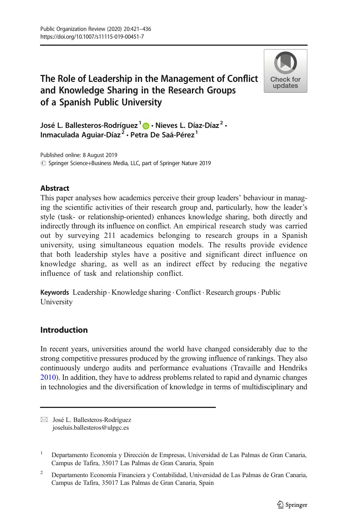# The Role of Leadership in the Management of Conflict and Knowledge Sharing in the Research Groups of a Spanish Public University



José L. Ballesteros-Rodríguez<sup>1</sup>  $\bullet$  · Nieves L. Díaz-Díaz<sup>2</sup> · Inmaculada Aguiar-Díaz<sup>2</sup> · Petra De Saá-Pérez<sup>1</sup>

 $\circled{C}$  Springer Science+Business Media, LLC, part of Springer Nature 2019 Published online: 8 August 2019

# Abstract

This paper analyses how academics perceive their group leaders' behaviour in managing the scientific activities of their research group and, particularly, how the leader's style (task- or relationship-oriented) enhances knowledge sharing, both directly and indirectly through its influence on conflict. An empirical research study was carried out by surveying 211 academics belonging to research groups in a Spanish university, using simultaneous equation models. The results provide evidence that both leadership styles have a positive and significant direct influence on knowledge sharing, as well as an indirect effect by reducing the negative influence of task and relationship conflict.

Keywords Leadership · Knowledge sharing · Conflict · Research groups · Public University

# Introduction

In recent years, universities around the world have changed considerably due to the strong competitive pressures produced by the growing influence of rankings. They also continuously undergo audits and performance evaluations (Travaille and Hendriks [2010\)](#page-14-0). In addition, they have to address problems related to rapid and dynamic changes in technologies and the diversification of knowledge in terms of multidisciplinary and

 $\boxtimes$  José L. Ballesteros-Rodríguez [joseluis.ballesteros@ulpgc.es](mailto:joseluis.ballesteros@ulpgc.es)

<sup>1</sup> Departamento Economía y Dirección de Empresas, Universidad de Las Palmas de Gran Canaria, Campus de Tafira, 35017 Las Palmas de Gran Canaria, Spain

<sup>2</sup> Departamento Economía Financiera y Contabilidad, Universidad de Las Palmas de Gran Canaria, Campus de Tafira, 35017 Las Palmas de Gran Canaria, Spain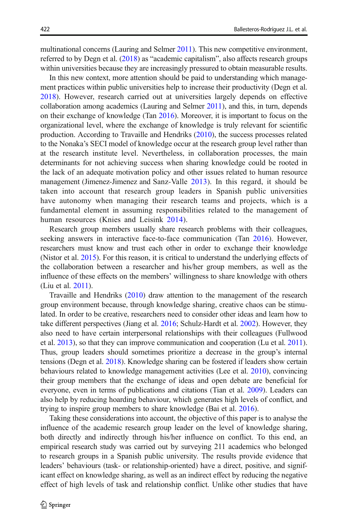multinational concerns (Lauring and Selmer [2011\)](#page-13-0). This new competitive environment, referred to by Degn et al. ([2018\)](#page-13-0) as "academic capitalism", also affects research groups within universities because they are increasingly pressured to obtain measurable results.

In this new context, more attention should be paid to understanding which management practices within public universities help to increase their productivity (Degn et al. [2018\)](#page-13-0). However, research carried out at universities largely depends on effective collaboration among academics (Lauring and Selmer [2011](#page-13-0)), and this, in turn, depends on their exchange of knowledge (Tan [2016](#page-14-0)). Moreover, it is important to focus on the organizational level, where the exchange of knowledge is truly relevant for scientific production. According to Travaille and Hendriks [\(2010\)](#page-14-0), the success processes related to the Nonaka's SECI model of knowledge occur at the research group level rather than at the research institute level. Nevertheless, in collaboration processes, the main determinants for not achieving success when sharing knowledge could be rooted in the lack of an adequate motivation policy and other issues related to human resource management (Jimenez-Jimenez and Sanz-Valle [2013\)](#page-13-0). In this regard, it should be taken into account that research group leaders in Spanish public universities have autonomy when managing their research teams and projects, which is a fundamental element in assuming responsibilities related to the management of human resources (Knies and Leisink [2014](#page-13-0)).

Research group members usually share research problems with their colleagues, seeking answers in interactive face-to-face communication (Tan [2016\)](#page-14-0). However, researchers must know and trust each other in order to exchange their knowledge (Nistor et al. [2015\)](#page-14-0). For this reason, it is critical to understand the underlying effects of the collaboration between a researcher and his/her group members, as well as the influence of these effects on the members' willingness to share knowledge with others (Liu et al. [2011\)](#page-13-0).

Travaille and Hendriks [\(2010\)](#page-14-0) draw attention to the management of the research group environment because, through knowledge sharing, creative chaos can be stimulated. In order to be creative, researchers need to consider other ideas and learn how to take different perspectives (Jiang et al. [2016;](#page-13-0) Schulz-Hardt et al. [2002](#page-14-0)). However, they also need to have certain interpersonal relationships with their colleagues (Fullwood et al. [2013\)](#page-13-0), so that they can improve communication and cooperation (Lu et al. [2011\)](#page-13-0). Thus, group leaders should sometimes prioritize a decrease in the group's internal tensions (Degn et al. [2018](#page-13-0)). Knowledge sharing can be fostered if leaders show certain behaviours related to knowledge management activities (Lee et al. [2010](#page-13-0)), convincing their group members that the exchange of ideas and open debate are beneficial for everyone, even in terms of publications and citations (Tian et al. [2009\)](#page-14-0). Leaders can also help by reducing hoarding behaviour, which generates high levels of conflict, and trying to inspire group members to share knowledge (Bai et al. [2016](#page-12-0)).

Taking these considerations into account, the objective of this paper is to analyse the influence of the academic research group leader on the level of knowledge sharing, both directly and indirectly through his/her influence on conflict. To this end, an empirical research study was carried out by surveying 211 academics who belonged to research groups in a Spanish public university. The results provide evidence that leaders' behaviours (task- or relationship-oriented) have a direct, positive, and significant effect on knowledge sharing, as well as an indirect effect by reducing the negative effect of high levels of task and relationship conflict. Unlike other studies that have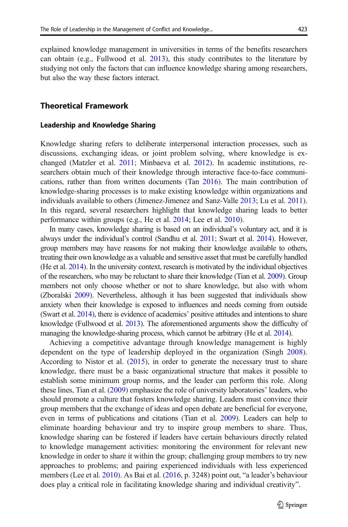explained knowledge management in universities in terms of the benefits researchers can obtain (e.g., Fullwood et al. [2013](#page-13-0)), this study contributes to the literature by studying not only the factors that can influence knowledge sharing among researchers, but also the way these factors interact.

# Theoretical Framework

# Leadership and Knowledge Sharing

Knowledge sharing refers to deliberate interpersonal interaction processes, such as discussions, exchanging ideas, or joint problem solving, where knowledge is exchanged (Matzler et al. [2011;](#page-13-0) Minbaeva et al. [2012\)](#page-14-0). In academic institutions, researchers obtain much of their knowledge through interactive face-to-face communications, rather than from written documents (Tan [2016\)](#page-14-0). The main contribution of knowledge-sharing processes is to make existing knowledge within organizations and individuals available to others (Jimenez-Jimenez and Sanz-Valle [2013](#page-13-0); Lu et al. [2011\)](#page-13-0). In this regard, several researchers highlight that knowledge sharing leads to better performance within groups (e.g., He et al. [2014](#page-13-0); Lee et al. [2010](#page-13-0)).

In many cases, knowledge sharing is based on an individual's voluntary act, and it is always under the individual's control (Sandhu et al. [2011](#page-14-0); Swart et al. [2014](#page-14-0)). However, group members may have reasons for not making their knowledge available to others, treating their own knowledge as a valuable and sensitive asset that must be carefully handled (He et al. [2014\)](#page-13-0). In the university context, research is motivated by the individual objectives of the researchers, who may be reluctant to share their knowledge (Tian et al. [2009\)](#page-14-0). Group members not only choose whether or not to share knowledge, but also with whom (Zboralski [2009](#page-14-0)). Nevertheless, although it has been suggested that individuals show anxiety when their knowledge is exposed to influences and needs coming from outside (Swart et al. [2014](#page-14-0)), there is evidence of academics' positive attitudes and intentions to share knowledge (Fullwood et al. [2013](#page-13-0)). The aforementioned arguments show the difficulty of managing the knowledge-sharing process, which cannot be arbitrary (He et al. [2014\)](#page-13-0).

Achieving a competitive advantage through knowledge management is highly dependent on the type of leadership deployed in the organization (Singh [2008\)](#page-14-0). According to Nistor et al. ([2015](#page-14-0)), in order to generate the necessary trust to share knowledge, there must be a basic organizational structure that makes it possible to establish some minimum group norms, and the leader can perform this role. Along these lines, Tian et al. [\(2009\)](#page-14-0) emphasize the role of university laboratories' leaders, who should promote a culture that fosters knowledge sharing. Leaders must convince their group members that the exchange of ideas and open debate are beneficial for everyone, even in terms of publications and citations (Tian et al. [2009\)](#page-14-0). Leaders can help to eliminate hoarding behaviour and try to inspire group members to share. Thus, knowledge sharing can be fostered if leaders have certain behaviours directly related to knowledge management activities: monitoring the environment for relevant new knowledge in order to share it within the group; challenging group members to try new approaches to problems; and pairing experienced individuals with less experienced members (Lee et al. [2010\)](#page-13-0). As Bai et al. ([2016](#page-12-0), p. 3248) point out, "a leader's behaviour does play a critical role in facilitating knowledge sharing and individual creativity".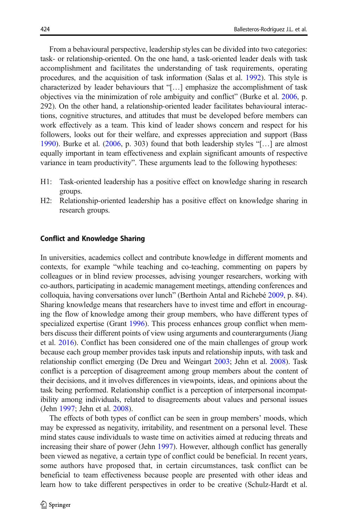From a behavioural perspective, leadership styles can be divided into two categories: task- or relationship-oriented. On the one hand, a task-oriented leader deals with task accomplishment and facilitates the understanding of task requirements, operating procedures, and the acquisition of task information (Salas et al. [1992\)](#page-14-0). This style is characterized by leader behaviours that "[…] emphasize the accomplishment of task objectives via the minimization of role ambiguity and conflict" (Burke et al. [2006](#page-13-0), p. 292). On the other hand, a relationship-oriented leader facilitates behavioural interactions, cognitive structures, and attitudes that must be developed before members can work effectively as a team. This kind of leader shows concern and respect for his followers, looks out for their welfare, and expresses appreciation and support (Bass [1990\)](#page-12-0). Burke et al. [\(2006,](#page-13-0) p. 303) found that both leadership styles "[…] are almost equally important in team effectiveness and explain significant amounts of respective variance in team productivity". These arguments lead to the following hypotheses:

- H1: Task-oriented leadership has a positive effect on knowledge sharing in research groups.
- H2: Relationship-oriented leadership has a positive effect on knowledge sharing in research groups.

#### Conflict and Knowledge Sharing

In universities, academics collect and contribute knowledge in different moments and contexts, for example "while teaching and co-teaching, commenting on papers by colleagues or in blind review processes, advising younger researchers, working with co-authors, participating in academic management meetings, attending conferences and colloquia, having conversations over lunch" (Berthoin Antal and Richebé [2009](#page-13-0), p. 84). Sharing knowledge means that researchers have to invest time and effort in encouraging the flow of knowledge among their group members, who have different types of specialized expertise (Grant [1996\)](#page-13-0). This process enhances group conflict when members discuss their different points of view using arguments and counterarguments (Jiang et al. [2016](#page-13-0)). Conflict has been considered one of the main challenges of group work because each group member provides task inputs and relationship inputs, with task and relationship conflict emerging (De Dreu and Weingart [2003](#page-13-0); Jehn et al. [2008\)](#page-13-0). Task conflict is a perception of disagreement among group members about the content of their decisions, and it involves differences in viewpoints, ideas, and opinions about the task being performed. Relationship conflict is a perception of interpersonal incompatibility among individuals, related to disagreements about values and personal issues (Jehn [1997;](#page-13-0) Jehn et al. [2008\)](#page-13-0).

The effects of both types of conflict can be seen in group members' moods, which may be expressed as negativity, irritability, and resentment on a personal level. These mind states cause individuals to waste time on activities aimed at reducing threats and increasing their share of power (Jehn [1997\)](#page-13-0). However, although conflict has generally been viewed as negative, a certain type of conflict could be beneficial. In recent years, some authors have proposed that, in certain circumstances, task conflict can be beneficial to team effectiveness because people are presented with other ideas and learn how to take different perspectives in order to be creative (Schulz-Hardt et al.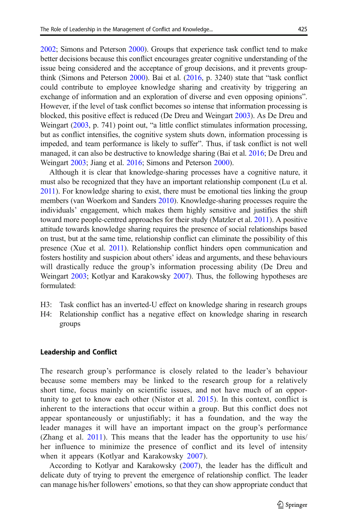[2002;](#page-14-0) Simons and Peterson [2000](#page-14-0)). Groups that experience task conflict tend to make better decisions because this conflict encourages greater cognitive understanding of the issue being considered and the acceptance of group decisions, and it prevents groupthink (Simons and Peterson [2000](#page-14-0)). Bai et al. [\(2016,](#page-12-0) p. 3240) state that "task conflict could contribute to employee knowledge sharing and creativity by triggering an exchange of information and an exploration of diverse and even opposing opinions". However, if the level of task conflict becomes so intense that information processing is blocked, this positive effect is reduced (De Dreu and Weingart [2003](#page-13-0)). As De Dreu and Weingart [\(2003,](#page-13-0) p. 741) point out, "a little conflict stimulates information processing, but as conflict intensifies, the cognitive system shuts down, information processing is impeded, and team performance is likely to suffer". Thus, if task conflict is not well managed, it can also be destructive to knowledge sharing (Bai et al. [2016;](#page-12-0) De Dreu and Weingart [2003;](#page-13-0) Jiang et al. [2016](#page-13-0); Simons and Peterson [2000\)](#page-14-0).

Although it is clear that knowledge-sharing processes have a cognitive nature, it must also be recognized that they have an important relationship component (Lu et al. [2011](#page-13-0)). For knowledge sharing to exist, there must be emotional ties linking the group members (van Woerkom and Sanders [2010\)](#page-14-0). Knowledge-sharing processes require the individuals' engagement, which makes them highly sensitive and justifies the shift toward more people-centred approaches for their study (Matzler et al. [2011](#page-13-0)). A positive attitude towards knowledge sharing requires the presence of social relationships based on trust, but at the same time, relationship conflict can eliminate the possibility of this presence (Xue et al. [2011\)](#page-14-0). Relationship conflict hinders open communication and fosters hostility and suspicion about others' ideas and arguments, and these behaviours will drastically reduce the group's information processing ability (De Dreu and Weingart [2003](#page-13-0); Kotlyar and Karakowsky [2007\)](#page-13-0). Thus, the following hypotheses are formulated:

- H3: Task conflict has an inverted-U effect on knowledge sharing in research groups
- H4: Relationship conflict has a negative effect on knowledge sharing in research groups

# Leadership and Conflict

The research group's performance is closely related to the leader's behaviour because some members may be linked to the research group for a relatively short time, focus mainly on scientific issues, and not have much of an opportunity to get to know each other (Nistor et al. [2015\)](#page-14-0). In this context, conflict is inherent to the interactions that occur within a group. But this conflict does not appear spontaneously or unjustifiably; it has a foundation, and the way the leader manages it will have an important impact on the group's performance (Zhang et al. [2011](#page-14-0)). This means that the leader has the opportunity to use his/ her influence to minimize the presence of conflict and its level of intensity when it appears (Kotlyar and Karakowsky [2007\)](#page-13-0).

According to Kotlyar and Karakowsky [\(2007\)](#page-13-0), the leader has the difficult and delicate duty of trying to prevent the emergence of relationship conflict. The leader can manage his/her followers' emotions, so that they can show appropriate conduct that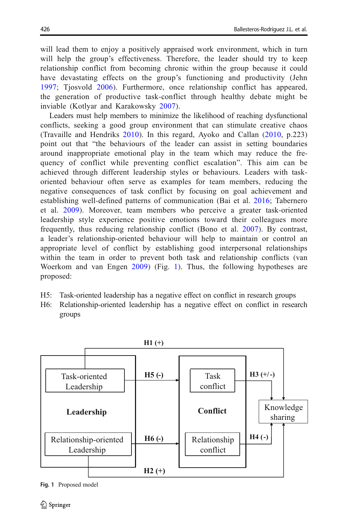will lead them to enjoy a positively appraised work environment, which in turn will help the group's effectiveness. Therefore, the leader should try to keep relationship conflict from becoming chronic within the group because it could have devastating effects on the group's functioning and productivity (Jehn [1997](#page-13-0); Tiosvold [2006\)](#page-14-0). Furthermore, once relationship conflict has appeared, the generation of productive task-conflict through healthy debate might be inviable (Kotlyar and Karakowsky [2007\)](#page-13-0).

Leaders must help members to minimize the likelihood of reaching dysfunctional conflicts, seeking a good group environment that can stimulate creative chaos (Travaille and Hendriks [2010\)](#page-14-0). In this regard, Ayoko and Callan ([2010](#page-12-0), p.223) point out that "the behaviours of the leader can assist in setting boundaries around inappropriate emotional play in the team which may reduce the frequency of conflict while preventing conflict escalation". This aim can be achieved through different leadership styles or behaviours. Leaders with taskoriented behaviour often serve as examples for team members, reducing the negative consequences of task conflict by focusing on goal achievement and establishing well-defined patterns of communication (Bai et al. [2016;](#page-12-0) Tabernero et al. [2009](#page-14-0)). Moreover, team members who perceive a greater task-oriented leadership style experience positive emotions toward their colleagues more frequently, thus reducing relationship conflict (Bono et al. [2007\)](#page-13-0). By contrast, a leader's relationship-oriented behaviour will help to maintain or control an appropriate level of conflict by establishing good interpersonal relationships within the team in order to prevent both task and relationship conflicts (van Woerkom and van Engen [2009\)](#page-14-0) (Fig. 1). Thus, the following hypotheses are proposed:

- H5: Task-oriented leadership has a negative effect on conflict in research groups
- H6: Relationship-oriented leadership has a negative effect on conflict in research groups



Fig. 1 Proposed model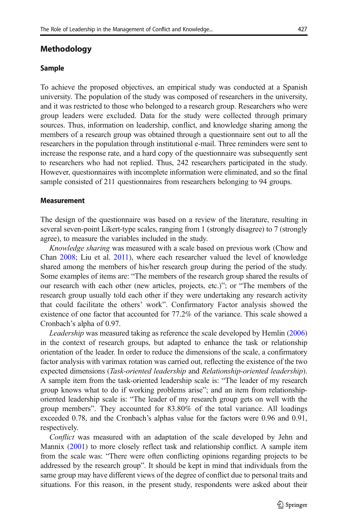# Methodology

#### Sample

To achieve the proposed objectives, an empirical study was conducted at a Spanish university. The population of the study was composed of researchers in the university, and it was restricted to those who belonged to a research group. Researchers who were group leaders were excluded. Data for the study were collected through primary sources. Thus, information on leadership, conflict, and knowledge sharing among the members of a research group was obtained through a questionnaire sent out to all the researchers in the population through institutional e-mail. Three reminders were sent to increase the response rate, and a hard copy of the questionnaire was subsequently sent to researchers who had not replied. Thus, 242 researchers participated in the study. However, questionnaires with incomplete information were eliminated, and so the final sample consisted of 211 questionnaires from researchers belonging to 94 groups.

#### Measurement

The design of the questionnaire was based on a review of the literature, resulting in several seven-point Likert-type scales, ranging from 1 (strongly disagree) to 7 (strongly agree), to measure the variables included in the study.

Knowledge sharing was measured with a scale based on previous work (Chow and Chan [2008](#page-13-0); Liu et al. [2011\)](#page-13-0), where each researcher valued the level of knowledge shared among the members of his/her research group during the period of the study. Some examples of items are: "The members of the research group shared the results of our research with each other (new articles, projects, etc.)"; or "The members of the research group usually told each other if they were undertaking any research activity that could facilitate the others' work". Confirmatory Factor analysis showed the existence of one factor that accounted for 77.2% of the variance. This scale showed a Cronbach's alpha of 0.97.

Leadership was measured taking as reference the scale developed by Hemlin ([2006](#page-13-0)) in the context of research groups, but adapted to enhance the task or relationship orientation of the leader. In order to reduce the dimensions of the scale, a confirmatory factor analysis with varimax rotation was carried out, reflecting the existence of the two expected dimensions (Task-oriented leadership and Relationship-oriented leadership). A sample item from the task-oriented leadership scale is: "The leader of my research group knows what to do if working problems arise"; and an item from relationshiporiented leadership scale is: "The leader of my research group gets on well with the group members". They accounted for 83.80% of the total variance. All loadings exceeded 0.78, and the Cronbach's alphas value for the factors were 0.96 and 0.91, respectively.

Conflict was measured with an adaptation of the scale developed by Jehn and Mannix [\(2001\)](#page-13-0) to more closely reflect task and relationship conflict. A sample item from the scale was: "There were often conflicting opinions regarding projects to be addressed by the research group". It should be kept in mind that individuals from the same group may have different views of the degree of conflict due to personal traits and situations. For this reason, in the present study, respondents were asked about their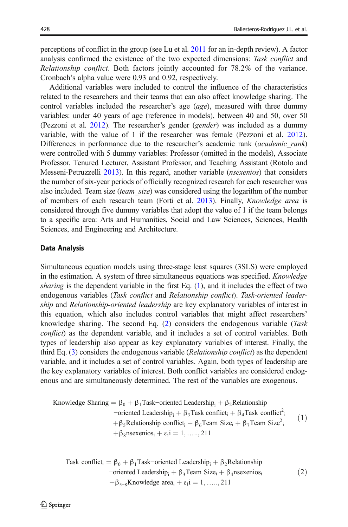<span id="page-7-0"></span>perceptions of conflict in the group (see Lu et al. [2011](#page-13-0) for an in-depth review). A factor analysis confirmed the existence of the two expected dimensions: Task conflict and Relationship conflict. Both factors jointly accounted for 78.2% of the variance. Cronbach's alpha value were 0.93 and 0.92, respectively.

Additional variables were included to control the influence of the characteristics related to the researchers and their teams that can also affect knowledge sharing. The control variables included the researcher's age (age), measured with three dummy variables: under 40 years of age (reference in models), between 40 and 50, over 50 (Pezzoni et al. [2012](#page-14-0)). The researcher's gender (gender) was included as a dummy variable, with the value of 1 if the researcher was female (Pezzoni et al. [2012\)](#page-14-0). Differences in performance due to the researcher's academic rank (*academic rank*) were controlled with 5 dummy variables: Professor (omitted in the models), Associate Professor, Tenured Lecturer, Assistant Professor, and Teaching Assistant (Rotolo and Messeni-Petruzzelli [2013\)](#page-14-0). In this regard, another variable (nsexenios) that considers the number of six-year periods of officially recognized research for each researcher was also included. Team size *(team size)* was considered using the logarithm of the number of members of each research team (Forti et al. [2013](#page-13-0)). Finally, Knowledge area is considered through five dummy variables that adopt the value of 1 if the team belongs to a specific area: Arts and Humanities, Social and Law Sciences, Sciences, Health Sciences, and Engineering and Architecture.

#### Data Analysis

Simultaneous equation models using three-stage least squares (3SLS) were employed in the estimation. A system of three simultaneous equations was specified. *Knowledge* sharing is the dependent variable in the first Eq.  $(1)$ , and it includes the effect of two endogenous variables (Task conflict and Relationship conflict). Task-oriented leadership and Relationship-oriented leadership are key explanatory variables of interest in this equation, which also includes control variables that might affect researchers' knowledge sharing. The second Eq.  $(2)$  considers the endogenous variable (*Task* conflict) as the dependent variable, and it includes a set of control variables. Both types of leadership also appear as key explanatory variables of interest. Finally, the third Eq. [\(3](#page-8-0)) considers the endogenous variable (Relationship conflict) as the dependent variable, and it includes a set of control variables. Again, both types of leadership are the key explanatory variables of interest. Both conflict variables are considered endogenous and are simultaneously determined. The rest of the variables are exogenous.

Knowledge Sharing =  $\beta_0 + \beta_1$ Task-oriented Leadership<sub>i</sub> +  $\beta_2$ Relationship  $\text{-oriented Leadership}_i + \beta_3\text{Task conflict}_i + \beta_4\text{Task conflict}_i^2$ + $\beta_5$ Relationship conflict<sub>i</sub> +  $\beta_6$ Team Size<sub>i</sub> +  $\beta_7$ Team Size<sup>2</sup><sub>i</sub>  $+\beta_8$ nsexenios<sub>i</sub> +  $\varepsilon_1$ i = 1, ……, 211  $(1)$ 

Task conflict<sub>i</sub> = 
$$
\beta_0 + \beta_1
$$
Task-oriented Leadership<sub>i</sub> +  $\beta_2$ Relationship  
–oriented Leadership<sub>i</sub> +  $\beta_3$ Team Size<sub>i</sub> +  $\beta_4$ nsexenios<sub>i</sub>  
+ $\beta_{5-8}$ Knowledge area<sub>i</sub> +  $\varepsilon_i$ *i* = 1, ......, 211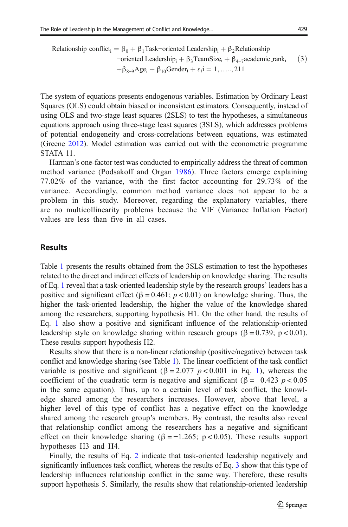<span id="page-8-0"></span>Relationship conflict<sub>i</sub> =  $\beta_0 + \beta_1$ Task-oriented Leadership<sub>i</sub> +  $\beta_2$ Relationship  $\alpha$ -oriented Leadership;  $\beta_3$ TeamSize<sub>i</sub> +  $\beta_4$ <sub>-7</sub>academic\_rank<sub>i</sub>  $\beta_{8-9}Age_i + \beta_{10} gender_i + \varepsilon_i = 1, \ldots, 211$  $(3)$ 

The system of equations presents endogenous variables. Estimation by Ordinary Least Squares (OLS) could obtain biased or inconsistent estimators. Consequently, instead of using OLS and two-stage least squares (2SLS) to test the hypotheses, a simultaneous equations approach using three-stage least squares (3SLS), which addresses problems of potential endogeneity and cross-correlations between equations, was estimated (Greene [2012\)](#page-13-0). Model estimation was carried out with the econometric programme STATA 11.

Harman's one-factor test was conducted to empirically address the threat of common method variance (Podsakoff and Organ [1986\)](#page-14-0). Three factors emerge explaining 77.02% of the variance, with the first factor accounting for 29.73% of the variance. Accordingly, common method variance does not appear to be a problem in this study. Moreover, regarding the explanatory variables, there are no multicollinearity problems because the VIF (Variance Inflation Factor) values are less than five in all cases.

# **Results**

Table [1](#page-9-0) presents the results obtained from the 3SLS estimation to test the hypotheses related to the direct and indirect effects of leadership on knowledge sharing. The results of Eq. [1](#page-7-0) reveal that a task-oriented leadership style by the research groups' leaders has a positive and significant effect ( $\beta = 0.461$ ;  $p < 0.01$ ) on knowledge sharing. Thus, the higher the task-oriented leadership, the higher the value of the knowledge shared among the researchers, supporting hypothesis H1. On the other hand, the results of Eq. [1](#page-7-0) also show a positive and significant influence of the relationship-oriented leadership style on knowledge sharing within research groups (β = 0.739; p < 0.01). These results support hypothesis H2.

Results show that there is a non-linear relationship (positive/negative) between task conflict and knowledge sharing (see Table [1\)](#page-9-0). The linear coefficient of the task conflict variable is positive and significant ( $\beta = 2.077$  p < 0.001 in Eq. [1\)](#page-7-0), whereas the coefficient of the quadratic term is negative and significant ( $\beta = -0.423$  p < 0.05 in the same equation). Thus, up to a certain level of task conflict, the knowledge shared among the researchers increases. However, above that level, a higher level of this type of conflict has a negative effect on the knowledge shared among the research group's members. By contrast, the results also reveal that relationship conflict among the researchers has a negative and significant effect on their knowledge sharing ( $\beta = -1.265$ ; p < 0.05). These results support hypotheses H3 and H4.

Finally, the results of Eq. [2](#page-7-0) indicate that task-oriented leadership negatively and significantly influences task conflict, whereas the results of Eq. 3 show that this type of leadership influences relationship conflict in the same way. Therefore, these results support hypothesis 5. Similarly, the results show that relationship-oriented leadership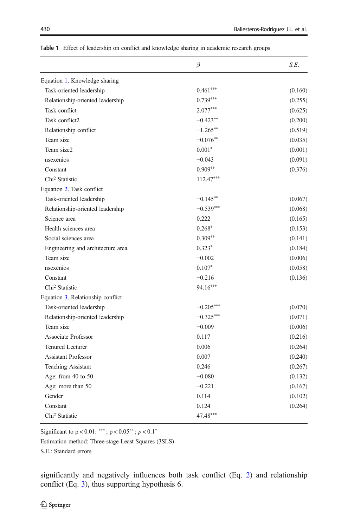|                                   | $\beta$     | S.E.    |
|-----------------------------------|-------------|---------|
| Equation 1. Knowledge sharing     |             |         |
| Task-oriented leadership          | $0.461***$  | (0.160) |
| Relationship-oriented leadership  | $0.739***$  | (0.255) |
| Task conflict                     | $2.077***$  | (0.625) |
| Task conflict2                    | $-0.423**$  | (0.200) |
| Relationship conflict             | $-1.265***$ | (0.519) |
| Team size                         | $-0.076**$  | (0.035) |
| Team size2                        | $0.001*$    | (0.001) |
| nsexenios                         | $-0.043$    | (0.091) |
| Constant                          | $0.909**$   | (0.376) |
| Chi <sup>2</sup> Statistic        | $112.47***$ |         |
| Equation 2. Task conflict         |             |         |
| Task-oriented leadership          | $-0.145**$  | (0.067) |
| Relationship-oriented leadership  | $-0.539***$ | (0.068) |
| Science area                      | 0.222       | (0.165) |
| Health sciences area              | $0.268*$    | (0.153) |
| Social sciences area              | $0.309**$   | (0.141) |
| Engineering and architecture area | $0.323*$    | (0.184) |
| Team size                         | $-0.002$    | (0.006) |
| nsexenios                         | $0.107*$    | (0.058) |
| Constant                          | $-0.216$    | (0.136) |
| Chi <sup>2</sup> Statistic        | 94.16***    |         |
| Equation 3. Relationship conflict |             |         |
| Task-oriented leadership          | $-0.205***$ | (0.070) |
| Relationship-oriented leadership  | $-0.325***$ | (0.071) |
| Team size                         | $-0.009$    | (0.006) |
| Associate Professor               | 0.117       | (0.216) |
| <b>Tenured Lecturer</b>           | 0.006       | (0.264) |
| <b>Assistant Professor</b>        | 0.007       | (0.240) |
| <b>Teaching Assistant</b>         | 0.246       | (0.267) |
| Age: from 40 to 50                | $-0.080$    | (0.132) |
| Age: more than 50                 | $-0.221$    | (0.167) |
| Gender                            | 0.114       | (0.102) |
| Constant                          | 0.124       | (0.264) |
| Chi <sup>2</sup> Statistic        | 47.48***    |         |

<span id="page-9-0"></span>Table 1 Effect of leadership on conflict and knowledge sharing in academic research groups

Significant to  $p < 0.01$ : \*\*\*;  $p < 0.05$ \*\*;  $p < 0.1$ \*

Estimation method: Three-stage Least Squares (3SLS)

S.E.: Standard errors

significantly and negatively influences both task conflict (Eq. [2\)](#page-7-0) and relationship conflict (Eq. [3](#page-8-0)), thus supporting hypothesis 6.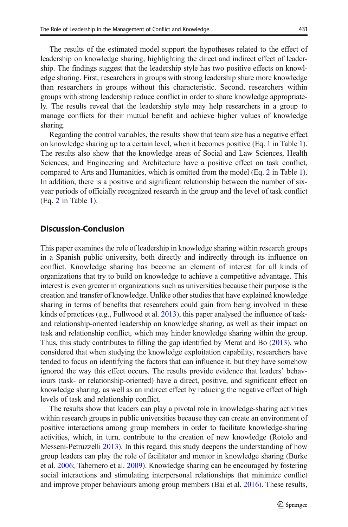The results of the estimated model support the hypotheses related to the effect of leadership on knowledge sharing, highlighting the direct and indirect effect of leadership. The findings suggest that the leadership style has two positive effects on knowledge sharing. First, researchers in groups with strong leadership share more knowledge than researchers in groups without this characteristic. Second, researchers within groups with strong leadership reduce conflict in order to share knowledge appropriately. The results reveal that the leadership style may help researchers in a group to manage conflicts for their mutual benefit and achieve higher values of knowledge sharing.

Regarding the control variables, the results show that team size has a negative effect on knowledge sharing up to a certain level, when it becomes positive (Eq. [1](#page-7-0) in Table [1\)](#page-9-0). The results also show that the knowledge areas of Social and Law Sciences, Health Sciences, and Engineering and Architecture have a positive effect on task conflict, compared to Arts and Humanities, which is omitted from the model (Eq. [2](#page-7-0) in Table [1\)](#page-9-0). In addition, there is a positive and significant relationship between the number of sixyear periods of officially recognized research in the group and the level of task conflict (Eq. [2](#page-7-0) in Table [1\)](#page-9-0).

# Discussion-Conclusion

This paper examines the role of leadership in knowledge sharing within research groups in a Spanish public university, both directly and indirectly through its influence on conflict. Knowledge sharing has become an element of interest for all kinds of organizations that try to build on knowledge to achieve a competitive advantage. This interest is even greater in organizations such as universities because their purpose is the creation and transfer of knowledge. Unlike other studies that have explained knowledge sharing in terms of benefits that researchers could gain from being involved in these kinds of practices (e.g., Fullwood et al. [2013\)](#page-13-0), this paper analysed the influence of taskand relationship-oriented leadership on knowledge sharing, as well as their impact on task and relationship conflict, which may hinder knowledge sharing within the group. Thus, this study contributes to filling the gap identified by Merat and Bo [\(2013\)](#page-13-0), who considered that when studying the knowledge exploitation capability, researchers have tended to focus on identifying the factors that can influence it, but they have somehow ignored the way this effect occurs. The results provide evidence that leaders' behaviours (task- or relationship-oriented) have a direct, positive, and significant effect on knowledge sharing, as well as an indirect effect by reducing the negative effect of high levels of task and relationship conflict.

The results show that leaders can play a pivotal role in knowledge-sharing activities within research groups in public universities because they can create an environment of positive interactions among group members in order to facilitate knowledge-sharing activities, which, in turn, contribute to the creation of new knowledge (Rotolo and Messeni-Petruzzelli [2013\)](#page-14-0). In this regard, this study deepens the understanding of how group leaders can play the role of facilitator and mentor in knowledge sharing (Burke et al. [2006](#page-13-0); Tabernero et al. [2009\)](#page-14-0). Knowledge sharing can be encouraged by fostering social interactions and stimulating interpersonal relationships that minimize conflict and improve proper behaviours among group members (Bai et al. [2016](#page-12-0)). These results,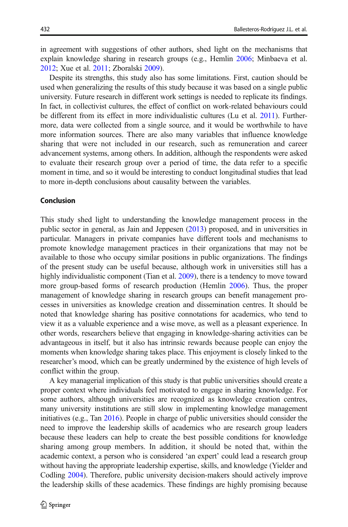in agreement with suggestions of other authors, shed light on the mechanisms that explain knowledge sharing in research groups (e.g., Hemlin [2006](#page-13-0); Minbaeva et al. [2012;](#page-14-0) Xue et al. [2011;](#page-14-0) Zboralski [2009\)](#page-14-0).

Despite its strengths, this study also has some limitations. First, caution should be used when generalizing the results of this study because it was based on a single public university. Future research in different work settings is needed to replicate its findings. In fact, in collectivist cultures, the effect of conflict on work-related behaviours could be different from its effect in more individualistic cultures (Lu et al. [2011\)](#page-13-0). Furthermore, data were collected from a single source, and it would be worthwhile to have more information sources. There are also many variables that influence knowledge sharing that were not included in our research, such as remuneration and career advancement systems, among others. In addition, although the respondents were asked to evaluate their research group over a period of time, the data refer to a specific moment in time, and so it would be interesting to conduct longitudinal studies that lead to more in-depth conclusions about causality between the variables.

#### Conclusion

This study shed light to understanding the knowledge management process in the public sector in general, as Jain and Jeppesen [\(2013\)](#page-13-0) proposed, and in universities in particular. Managers in private companies have different tools and mechanisms to promote knowledge management practices in their organizations that may not be available to those who occupy similar positions in public organizations. The findings of the present study can be useful because, although work in universities still has a highly individualistic component (Tian et al. [2009\)](#page-14-0), there is a tendency to move toward more group-based forms of research production (Hemlin [2006](#page-13-0)). Thus, the proper management of knowledge sharing in research groups can benefit management processes in universities as knowledge creation and dissemination centres. It should be noted that knowledge sharing has positive connotations for academics, who tend to view it as a valuable experience and a wise move, as well as a pleasant experience. In other words, researchers believe that engaging in knowledge-sharing activities can be advantageous in itself, but it also has intrinsic rewards because people can enjoy the moments when knowledge sharing takes place. This enjoyment is closely linked to the researcher's mood, which can be greatly undermined by the existence of high levels of conflict within the group.

A key managerial implication of this study is that public universities should create a proper context where individuals feel motivated to engage in sharing knowledge. For some authors, although universities are recognized as knowledge creation centres, many university institutions are still slow in implementing knowledge management initiatives (e.g., Tan [2016\)](#page-14-0). People in charge of public universities should consider the need to improve the leadership skills of academics who are research group leaders because these leaders can help to create the best possible conditions for knowledge sharing among group members. In addition, it should be noted that, within the academic context, a person who is considered 'an expert' could lead a research group without having the appropriate leadership expertise, skills, and knowledge (Yielder and Codling [2004](#page-14-0)). Therefore, public university decision-makers should actively improve the leadership skills of these academics. These findings are highly promising because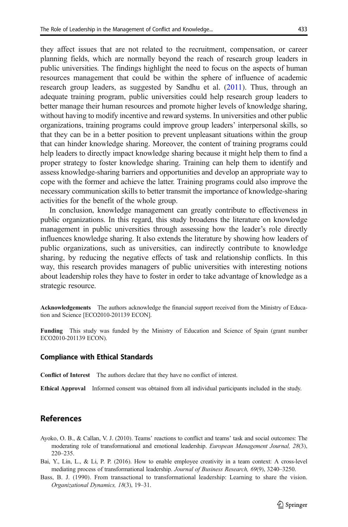<span id="page-12-0"></span>research group leaders, as suggested by Sandhu et al. [\(2011](#page-14-0)). Thus, through an adequate training program, public universities could help research group leaders to better manage their human resources and promote higher levels of knowledge sharing, without having to modify incentive and reward systems. In universities and other public organizations, training programs could improve group leaders' interpersonal skills, so that they can be in a better position to prevent unpleasant situations within the group that can hinder knowledge sharing. Moreover, the content of training programs could help leaders to directly impact knowledge sharing because it might help them to find a proper strategy to foster knowledge sharing. Training can help them to identify and assess knowledge-sharing barriers and opportunities and develop an appropriate way to cope with the former and achieve the latter. Training programs could also improve the necessary communication skills to better transmit the importance of knowledge-sharing activities for the benefit of the whole group.

In conclusion, knowledge management can greatly contribute to effectiveness in public organizations. In this regard, this study broadens the literature on knowledge management in public universities through assessing how the leader's role directly influences knowledge sharing. It also extends the literature by showing how leaders of public organizations, such as universities, can indirectly contribute to knowledge sharing, by reducing the negative effects of task and relationship conflicts. In this way, this research provides managers of public universities with interesting notions about leadership roles they have to foster in order to take advantage of knowledge as a strategic resource.

Acknowledgements The authors acknowledge the financial support received from the Ministry of Education and Science [ECO2010-201139 ECON].

Funding This study was funded by the Ministry of Education and Science of Spain (grant number ECO2010-201139 ECON).

#### Compliance with Ethical Standards

Conflict of Interest The authors declare that they have no conflict of interest.

Ethical Approval Informed consent was obtained from all individual participants included in the study.

# References

- Ayoko, O. B., & Callan, V. J. (2010). Teams' reactions to conflict and teams' task and social outcomes: The moderating role of transformational and emotional leadership. European Management Journal, 28(3), 220–235.
- Bai, Y., Lin, L., & Li, P. P. (2016). How to enable employee creativity in a team context: A cross-level mediating process of transformational leadership. Journal of Business Research, 69(9), 3240–3250.
- Bass, B. J. (1990). From transactional to transformational leadership: Learning to share the vision. Organizational Dynamics, 18(3), 19–31.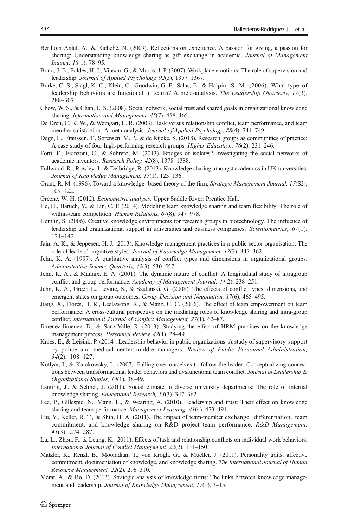- <span id="page-13-0"></span>Berthoin Antal, A., & Richebé, N. (2009). Reflections on experience. A passion for giving, a passion for sharing: Understanding knowledge sharing as gift exchange in academia. Journal of Management Inquiry, 18(1), 78–95.
- Bono, J. E., Foldes, H. J., Vinson, G., & Muros, J. P. (2007). Workplace emotions: The role of supervision and leadership. Journal of Applied Psychology, 92(5), 1357–1367.
- Burke, C. S., Stagl, K. C., Klein, C., Goodwin, G. F., Salas, E., & Halpin, S. M. (2006). What type of leadership behaviors are functional in teams? A meta-analysis. The Leadership Quarterly, 17(3), 288–307.
- Chow, W. S., & Chan, L. S. (2008). Social network, social trust and shared goals in organizational knowledge sharing. Information and Management, 45(7), 458–465.
- De Dreu, C. K. W., & Weingart, L. R. (2003). Task versus relationship conflict, team performance, and team member satisfaction: A meta-analysis. Journal of Applied Psychology, 88(4), 741–749.
- Degn, L., Franssen, T., Sørensen, M. P., & de Rijcke, S. (2018). Research groups as communities of practice: A case study of four high-performing research groups. Higher Education, 76(2), 231–246.
- Forti, E., Franzoni, C., & Sobrero, M. (2013). Bridges or isolates? Investigating the social networks of academic inventors. Research Policy, 42(8), 1378–1388.
- Fullwood, R., Rowley, J., & Delbridge, R. (2013). Knowledge sharing amongst academics in UK universities. Journal of Knowledge Management, 17(1), 123–136.
- Grant, R. M. (1996). Toward a knowledge -based theory of the firm. Strategic Management Journal, 17(S2), 109–122.
- Greene, W. H. (2012). Econometric analysis. Upper Saddle River: Prentice Hall.
- He, H., Baruch, Y., & Lin, C. P. (2014). Modeling team knowledge sharing and team flexibility: The role of within-team competition. Human Relations, 67(8), 947–978.
- Hemlin, S. (2006). Creative knowledge environments for research groups in biotechnology. The influence of leadership and organizational support in universities and business companies. Scientometrics, 67(1), 121–142.
- Jain, A. K., & Jeppesen, H. J. (2013). Knowledge management practices in a public sector organisation: The role of leaders' cognitive styles. Journal of Knowledge Management, 17(3), 347–362.
- Jehn, K. A. (1997). A qualitative analysis of conflict types and dimensions in organizational groups. Administrative Science Quarterly, 42(3), 530–557.
- Jehn, K. A., & Mannix, E. A. (2001). The dynamic nature of conflict: A longitudinal study of intragroup conflict and group performance. Academy of Management Journal, 44(2), 238–251.
- Jehn, K. A., Greer, L., Levine, S., & Szulanski, G. (2008). The effects of conflict types, dimensions, and emergent states on group outcomes. Group Decision and Negotiation, 17(6), 465–495.
- Jiang, X., Flores, H. R., Leelawong, R., & Manz, C. C. (2016). The effect of team empowerment on team performance: A cross-cultural perspective on the mediating roles of knowledge sharing and intra-group conflict. International Journal of Conflict Management, 27(1), 62–87.
- Jimenez-Jimenez, D., & Sanz-Valle, R. (2013). Studying the effect of HRM practices on the knowledge management process. Personnel Review, 42(1), 28–49.
- Knies, E., & Leisink, P. (2014). Leadership behavior in public organizations: A study of supervisory support by police and medical center middle managers. Review of Public Personnel Administration, 34(2), 108–127.
- Kotlyar, I., & Karakowsky, L. (2007). Falling over ourselves to follow the leader: Conceptualizing connections between transformational leader behaviors and dysfunctional team conflict. Journal of Leadership & Organizational Studies, 14(1), 38–49.
- Lauring, J., & Selmer, J. (2011). Social climate in diverse university departments: The role of internal knowledge sharing. Educational Research, 53(3), 347–362.
- Lee, P., Gillespie, N., Mann, L., & Wearing, A. (2010). Leadership and trust: Their effect on knowledge sharing and team performance. Management Learning, 41(4), 473–491.
- Liu, Y., Keller, R. T., & Shih, H. A. (2011). The impact of team-member exchange, differentiation, team commitment, and knowledge sharing on R&D project team performance. R&D Management, 41(3), 274–287.
- Lu, L., Zhou, F., & Leung, K. (2011). Effects of task and relationship conflicts on individual work behaviors. International Journal of Conflict Management, 22(2), 131–150.
- Matzler, K., Renzl, B., Mooradian, T., von Krogh, G., & Mueller, J. (2011). Personality traits, affective commitment, documentation of knowledge, and knowledge sharing. The International Journal of Human Resource Management, 22(2), 296–310.
- Merat, A., & Bo, D. (2013). Strategic analysis of knowledge firms: The links between knowledge management and leadership. Journal of Knowledge Management, 17(1), 3-15.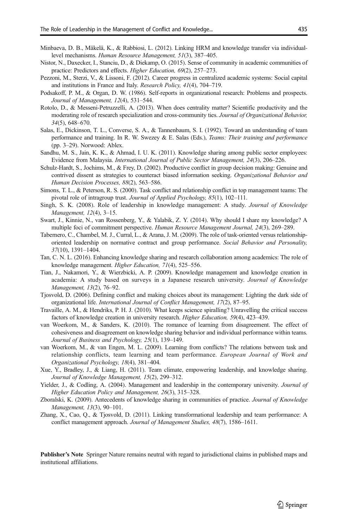- <span id="page-14-0"></span>Minbaeva, D. B., Mäkelä, K., & Rabbiosi, L. (2012). Linking HRM and knowledge transfer via individuallevel mechanisms. Human Resource Management, 51(3), 387–405.
- Nistor, N., Daxecker, I., Stanciu, D., & Diekamp, O. (2015). Sense of community in academic communities of practice: Predictors and effects. Higher Education, 69(2), 257–273.
- Pezzoni, M., Sterzi, V., & Lissoni, F. (2012). Career progress in centralized academic systems: Social capital and institutions in France and Italy. Research Policy, 41(4), 704–719.
- Podsakoff, P. M., & Organ, D. W. (1986). Self-reports in organizational research: Problems and prospects. Journal of Management, 12(4), 531–544.
- Rotolo, D., & Messeni-Petruzzelli, A. (2013). When does centrality matter? Scientific productivity and the moderating role of research specialization and cross-community ties. Journal of Organizational Behavior, 34(5), 648–670.
- Salas, E., Dickinson, T. L., Converse, S. A., & Tannenbaum, S. I. (1992). Toward an understanding of team performance and training. In R. W. Swezey & E. Salas (Eds.), Teams: Their training and performance (pp. 3–29). Norwood: Ablex.
- Sandhu, M. S., Jain, K. K., & Ahmad, I. U. K. (2011). Knowledge sharing among public sector employees: Evidence from Malaysia. International Journal of Public Sector Management, 24(3), 206–226.
- Schulz-Hardt, S., Jochims, M., & Frey, D. (2002). Productive conflict in group decision making: Genuine and contrived dissent as strategies to counteract biased information seeking. Organizational Behavior and Human Decision Processes, 88(2), 563–586.
- Simons, T. L., & Peterson, R. S. (2000). Task conflict and relationship conflict in top management teams: The pivotal role of intragroup trust. Journal of Applied Psychology, 85(1), 102–111.
- Singh, S. K. (2008). Role of leadership in knowledge management: A study. Journal of Knowledge Management, 12(4), 3–15.
- Swart, J., Kinnie, N., van Rossenberg, Y., & Yalabik, Z. Y. (2014). Why should I share my knowledge? A multiple foci of commitment perspective. Human Resource Management Journal, 24(3), 269–289.
- Tabernero, C., Chambel, M. J., Curral, L., & Arana, J. M. (2009). The role of task-oriented versus relationshiporiented leadership on normative contract and group performance. Social Behavior and Personality, 37(10), 1391–1404.
- Tan, C. N. L. (2016). Enhancing knowledge sharing and research collaboration among academics: The role of knowledge management. Higher Education, 71(4), 525–556.
- Tian, J., Nakamori, Y., & Wierzbicki, A. P. (2009). Knowledge management and knowledge creation in academia: A study based on surveys in a Japanese research university. Journal of Knowledge Management, 13(2), 76–92.
- Tjosvold, D. (2006). Defining conflict and making choices about its management: Lighting the dark side of organizational life. International Journal of Conflict Management, 17(2), 87–95.
- Travaille, A. M., & Hendriks, P. H. J. (2010). What keeps science spiralling? Unravelling the critical success factors of knowledge creation in university research. Higher Education, 59(4), 423–439.
- van Woerkom, M., & Sanders, K. (2010). The romance of learning from disagreement. The effect of cohesiveness and disagreement on knowledge sharing behavior and individual performance within teams. Journal of Business and Psychology, 25(1), 139–149.
- van Woerkom, M., & van Engen, M. L. (2009). Learning from conflicts? The relations between task and relationship conflicts, team learning and team performance. European Journal of Work and Organizational Psychology, 18(4), 381–404.
- Xue, Y., Bradley, J., & Liang, H. (2011). Team climate, empowering leadership, and knowledge sharing. Journal of Knowledge Management, 15(2), 299–312.
- Yielder, J., & Codling, A. (2004). Management and leadership in the contemporary university. Journal of Higher Education Policy and Management, 26(3), 315–328.
- Zboralski, K. (2009). Antecedents of knowledge sharing in communities of practice. Journal of Knowledge Management, 13(3), 90–101.
- Zhang, X., Cao, Q., & Tjosvold, D. (2011). Linking transformational leadership and team performance: A conflict management approach. Journal of Management Studies, 48(7), 1586–1611.

Publisher's Note Springer Nature remains neutral with regard to jurisdictional claims in published maps and institutional affiliations.